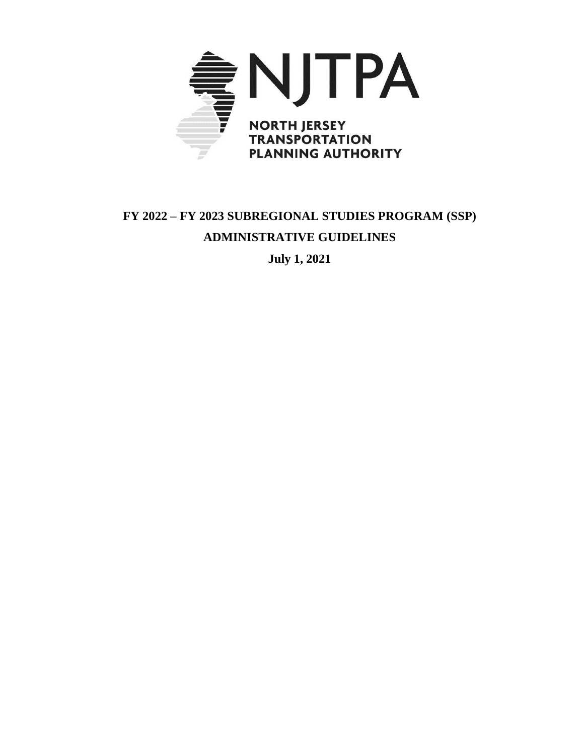

# **FY 2022 – FY 2023 SUBREGIONAL STUDIES PROGRAM (SSP) ADMINISTRATIVE GUIDELINES**

**July 1, 2021**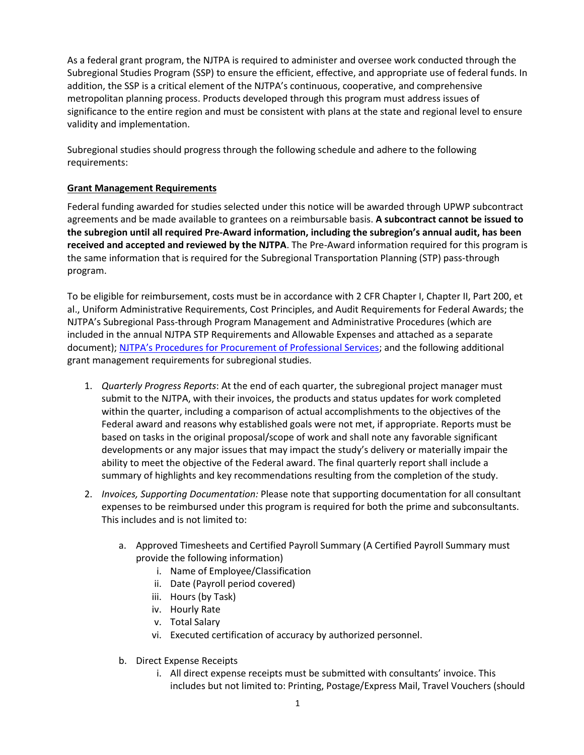As a federal grant program, the NJTPA is required to administer and oversee work conducted through the Subregional Studies Program (SSP) to ensure the efficient, effective, and appropriate use of federal funds. In addition, the SSP is a critical element of the NJTPA's continuous, cooperative, and comprehensive metropolitan planning process. Products developed through this program must address issues of significance to the entire region and must be consistent with plans at the state and regional level to ensure validity and implementation.

Subregional studies should progress through the following schedule and adhere to the following requirements:

#### **Grant Management Requirements**

Federal funding awarded for studies selected under this notice will be awarded through UPWP subcontract agreements and be made available to grantees on a reimbursable basis. **A subcontract cannot be issued to the subregion until all required Pre-Award information, including the subregion's annual audit, has been received and accepted and reviewed by the NJTPA**. The Pre-Award information required for this program is the same information that is required for the Subregional Transportation Planning (STP) pass-through program.

To be eligible for reimbursement, costs must be in accordance with 2 CFR Chapter I, Chapter II, Part 200, et al., Uniform Administrative Requirements, Cost Principles, and Audit Requirements for Federal Awards; the NJTPA's Subregional Pass-through Program Management and Administrative Procedures (which are included in the annual NJTPA STP Requirements and Allowable Expenses and attached as a separate document); NJTPA's Procedures [for Procurement of Professional Services;](https://www.njtpa.org/NJTPA/media/Documents/Get-Involved/RFPs/Common/EXHIBIT_-G-SubrecipientProcedForProfServices_Feb2018_rev.pdf) and the following additional grant management requirements for subregional studies.

- 1. *Quarterly Progress Reports*: At the end of each quarter, the subregional project manager must submit to the NJTPA, with their invoices, the products and status updates for work completed within the quarter, including a comparison of actual accomplishments to the objectives of the Federal award and reasons why established goals were not met, if appropriate. Reports must be based on tasks in the original proposal/scope of work and shall note any favorable significant developments or any major issues that may impact the study's delivery or materially impair the ability to meet the objective of the Federal award. The final quarterly report shall include a summary of highlights and key recommendations resulting from the completion of the study.
- 2. *Invoices, Supporting Documentation:* Please note that supporting documentation for all consultant expenses to be reimbursed under this program is required for both the prime and subconsultants. This includes and is not limited to:
	- a. Approved Timesheets and Certified Payroll Summary (A Certified Payroll Summary must provide the following information)
		- i. Name of Employee/Classification
		- ii. Date (Payroll period covered)
		- iii. Hours (by Task)
		- iv. Hourly Rate
		- v. Total Salary
		- vi. Executed certification of accuracy by authorized personnel.
	- b. Direct Expense Receipts
		- i. All direct expense receipts must be submitted with consultants' invoice. This includes but not limited to: Printing, Postage/Express Mail, Travel Vouchers (should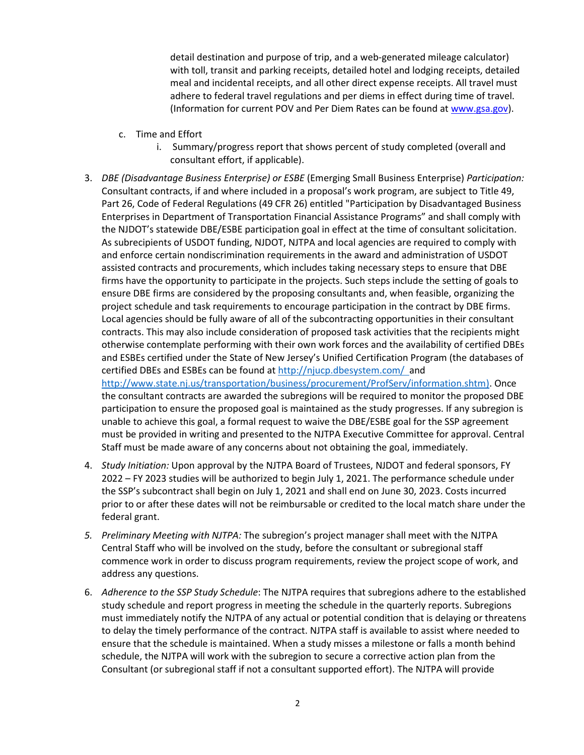detail destination and purpose of trip, and a web-generated mileage calculator) with toll, transit and parking receipts, detailed hotel and lodging receipts, detailed meal and incidental receipts, and all other direct expense receipts. All travel must adhere to federal travel regulations and per diems in effect during time of travel. (Information for current POV and Per Diem Rates can be found at [www.gsa.gov\)](http://www.gsa.gov/).

- c. Time and Effort
	- i. Summary/progress report that shows percent of study completed (overall and consultant effort, if applicable).
- 3. *DBE (Disadvantage Business Enterprise) or ESBE* (Emerging Small Business Enterprise) *Participation:* Consultant contracts, if and where included in a proposal's work program, are subject to Title 49, Part 26, Code of Federal Regulations (49 CFR 26) entitled "Participation by Disadvantaged Business Enterprises in Department of Transportation Financial Assistance Programs" and shall comply with the NJDOT's statewide DBE/ESBE participation goal in effect at the time of consultant solicitation. As subrecipients of USDOT funding, NJDOT, NJTPA and local agencies are required to comply with and enforce certain nondiscrimination requirements in the award and administration of USDOT assisted contracts and procurements, which includes taking necessary steps to ensure that DBE firms have the opportunity to participate in the projects. Such steps include the setting of goals to ensure DBE firms are considered by the proposing consultants and, when feasible, organizing the project schedule and task requirements to encourage participation in the contract by DBE firms. Local agencies should be fully aware of all of the subcontracting opportunities in their consultant contracts. This may also include consideration of proposed task activities that the recipients might otherwise contemplate performing with their own work forces and the availability of certified DBEs and ESBEs certified under the State of New Jersey's Unified Certification Program (the databases of certified DBEs and ESBEs can be found a[t http://njucp.dbesystem.com/](http://njucp.dbesystem.com/) and [http://www.state.nj.us/transportation/business/procurement/ProfServ/information.shtm\)](http://www.state.nj.us/transportation/business/procurement/ProfServ/information.shtm). Once the consultant contracts are awarded the subregions will be required to monitor the proposed DBE participation to ensure the proposed goal is maintained as the study progresses. If any subregion is unable to achieve this goal, a formal request to waive the DBE/ESBE goal for the SSP agreement must be provided in writing and presented to the NJTPA Executive Committee for approval. Central
- 4. *Study Initiation:* Upon approval by the NJTPA Board of Trustees, NJDOT and federal sponsors, FY 2022 – FY 2023 studies will be authorized to begin July 1, 2021. The performance schedule under the SSP's subcontract shall begin on July 1, 2021 and shall end on June 30, 2023. Costs incurred prior to or after these dates will not be reimbursable or credited to the local match share under the federal grant.

Staff must be made aware of any concerns about not obtaining the goal, immediately.

- *5. Preliminary Meeting with NJTPA:* The subregion's project manager shall meet with the NJTPA Central Staff who will be involved on the study, before the consultant or subregional staff commence work in order to discuss program requirements, review the project scope of work, and address any questions.
- 6. *Adherence to the SSP Study Schedule*: The NJTPA requires that subregions adhere to the established study schedule and report progress in meeting the schedule in the quarterly reports. Subregions must immediately notify the NJTPA of any actual or potential condition that is delaying or threatens to delay the timely performance of the contract. NJTPA staff is available to assist where needed to ensure that the schedule is maintained. When a study misses a milestone or falls a month behind schedule, the NJTPA will work with the subregion to secure a corrective action plan from the Consultant (or subregional staff if not a consultant supported effort). The NJTPA will provide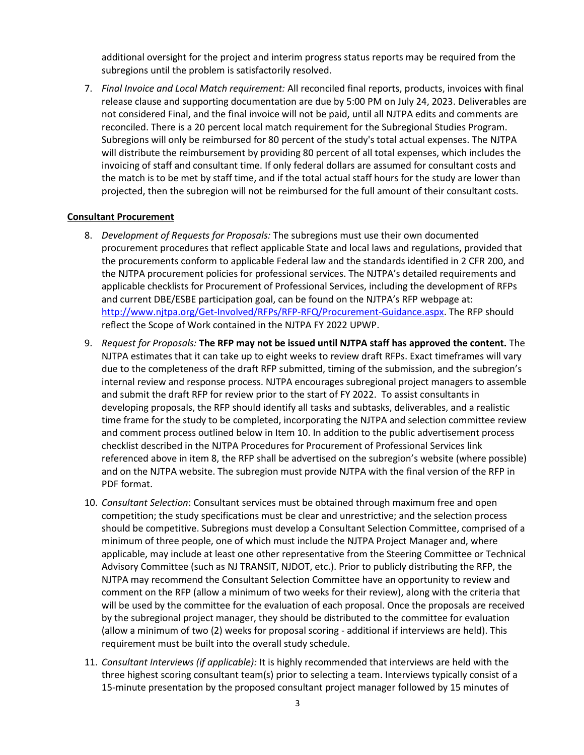additional oversight for the project and interim progress status reports may be required from the subregions until the problem is satisfactorily resolved.

7. *Final Invoice and Local Match requirement:* All reconciled final reports, products, invoices with final release clause and supporting documentation are due by 5:00 PM on July 24, 2023. Deliverables are not considered Final, and the final invoice will not be paid, until all NJTPA edits and comments are reconciled. There is a 20 percent local match requirement for the Subregional Studies Program. Subregions will only be reimbursed for 80 percent of the study's total actual expenses. The NJTPA will distribute the reimbursement by providing 80 percent of all total expenses, which includes the invoicing of staff and consultant time. If only federal dollars are assumed for consultant costs and the match is to be met by staff time, and if the total actual staff hours for the study are lower than projected, then the subregion will not be reimbursed for the full amount of their consultant costs.

#### **Consultant Procurement**

- 8. *Development of Requests for Proposals:* The subregions must use their own documented procurement procedures that reflect applicable State and local laws and regulations, provided that the procurements conform to applicable Federal law and the standards identified in 2 CFR 200, and the NJTPA procurement policies for professional services. The NJTPA's detailed requirements and applicable checklists for Procurement of Professional Services, including the development of RFPs and current DBE/ESBE participation goal, can be found on the NJTPA's RFP webpage at: [http://www.njtpa.org/Get-Involved/RFPs/RFP-RFQ/Procurement-Guidance.aspx.](http://www.njtpa.org/Get-Involved/RFPs/RFP-RFQ/Procurement-Guidance.aspx) The RFP should reflect the Scope of Work contained in the NJTPA FY 2022 UPWP.
- 9. *Request for Proposals:* **The RFP may not be issued until NJTPA staff has approved the content.** The NJTPA estimates that it can take up to eight weeks to review draft RFPs. Exact timeframes will vary due to the completeness of the draft RFP submitted, timing of the submission, and the subregion's internal review and response process. NJTPA encourages subregional project managers to assemble and submit the draft RFP for review prior to the start of FY 2022. To assist consultants in developing proposals, the RFP should identify all tasks and subtasks, deliverables, and a realistic time frame for the study to be completed, incorporating the NJTPA and selection committee review and comment process outlined below in Item 10. In addition to the public advertisement process checklist described in the NJTPA Procedures for Procurement of Professional Services link referenced above in item 8, the RFP shall be advertised on the subregion's website (where possible) and on the NJTPA website. The subregion must provide NJTPA with the final version of the RFP in PDF format.
- 10. *Consultant Selection*: Consultant services must be obtained through maximum free and open competition; the study specifications must be clear and unrestrictive; and the selection process should be competitive. Subregions must develop a Consultant Selection Committee, comprised of a minimum of three people, one of which must include the NJTPA Project Manager and, where applicable, may include at least one other representative from the Steering Committee or Technical Advisory Committee (such as NJ TRANSIT, NJDOT, etc.). Prior to publicly distributing the RFP, the NJTPA may recommend the Consultant Selection Committee have an opportunity to review and comment on the RFP (allow a minimum of two weeks for their review), along with the criteria that will be used by the committee for the evaluation of each proposal. Once the proposals are received by the subregional project manager, they should be distributed to the committee for evaluation (allow a minimum of two (2) weeks for proposal scoring - additional if interviews are held). This requirement must be built into the overall study schedule.
- 11. *Consultant Interviews (if applicable):* It is highly recommended that interviews are held with the three highest scoring consultant team(s) prior to selecting a team. Interviews typically consist of a 15-minute presentation by the proposed consultant project manager followed by 15 minutes of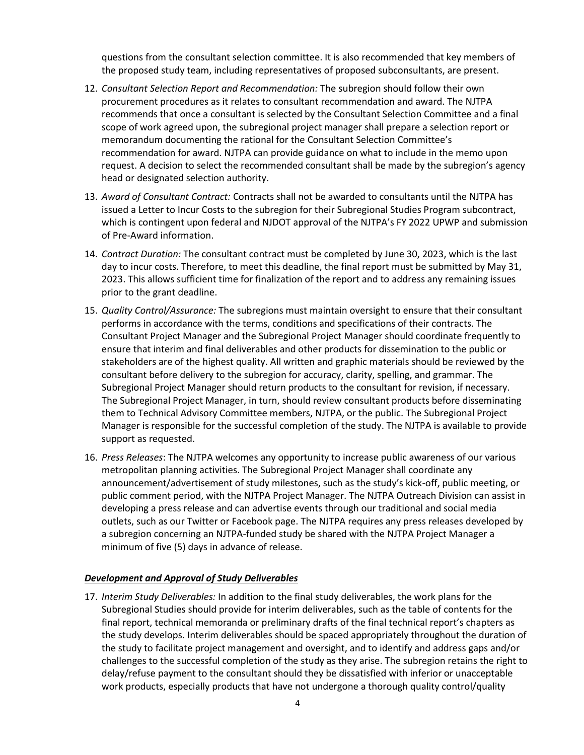questions from the consultant selection committee. It is also recommended that key members of the proposed study team, including representatives of proposed subconsultants, are present.

- 12. *Consultant Selection Report and Recommendation:* The subregion should follow their own procurement procedures as it relates to consultant recommendation and award. The NJTPA recommends that once a consultant is selected by the Consultant Selection Committee and a final scope of work agreed upon, the subregional project manager shall prepare a selection report or memorandum documenting the rational for the Consultant Selection Committee's recommendation for award. NJTPA can provide guidance on what to include in the memo upon request. A decision to select the recommended consultant shall be made by the subregion's agency head or designated selection authority.
- 13. *Award of Consultant Contract:* Contracts shall not be awarded to consultants until the NJTPA has issued a Letter to Incur Costs to the subregion for their Subregional Studies Program subcontract, which is contingent upon federal and NJDOT approval of the NJTPA's FY 2022 UPWP and submission of Pre-Award information.
- 14. *Contract Duration:* The consultant contract must be completed by June 30, 2023, which is the last day to incur costs. Therefore, to meet this deadline, the final report must be submitted by May 31, 2023. This allows sufficient time for finalization of the report and to address any remaining issues prior to the grant deadline.
- 15. *Quality Control/Assurance:* The subregions must maintain oversight to ensure that their consultant performs in accordance with the terms, conditions and specifications of their contracts. The Consultant Project Manager and the Subregional Project Manager should coordinate frequently to ensure that interim and final deliverables and other products for dissemination to the public or stakeholders are of the highest quality. All written and graphic materials should be reviewed by the consultant before delivery to the subregion for accuracy, clarity, spelling, and grammar. The Subregional Project Manager should return products to the consultant for revision, if necessary. The Subregional Project Manager, in turn, should review consultant products before disseminating them to Technical Advisory Committee members, NJTPA, or the public. The Subregional Project Manager is responsible for the successful completion of the study. The NJTPA is available to provide support as requested.
- 16. *Press Releases*: The NJTPA welcomes any opportunity to increase public awareness of our various metropolitan planning activities. The Subregional Project Manager shall coordinate any announcement/advertisement of study milestones, such as the study's kick-off, public meeting, or public comment period, with the NJTPA Project Manager. The NJTPA Outreach Division can assist in developing a press release and can advertise events through our traditional and social media outlets, such as our Twitter or Facebook page. The NJTPA requires any press releases developed by a subregion concerning an NJTPA-funded study be shared with the NJTPA Project Manager a minimum of five (5) days in advance of release.

#### *Development and Approval of Study Deliverables*

17. *Interim Study Deliverables:* In addition to the final study deliverables, the work plans for the Subregional Studies should provide for interim deliverables, such as the table of contents for the final report, technical memoranda or preliminary drafts of the final technical report's chapters as the study develops. Interim deliverables should be spaced appropriately throughout the duration of the study to facilitate project management and oversight, and to identify and address gaps and/or challenges to the successful completion of the study as they arise. The subregion retains the right to delay/refuse payment to the consultant should they be dissatisfied with inferior or unacceptable work products, especially products that have not undergone a thorough quality control/quality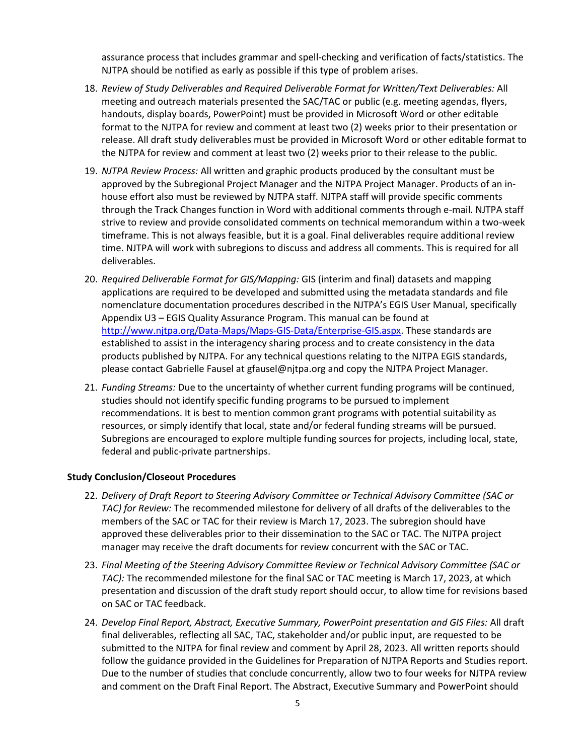assurance process that includes grammar and spell-checking and verification of facts/statistics. The NJTPA should be notified as early as possible if this type of problem arises.

- 18. *Review of Study Deliverables and Required Deliverable Format for Written/Text Deliverables:* All meeting and outreach materials presented the SAC/TAC or public (e.g. meeting agendas, flyers, handouts, display boards, PowerPoint) must be provided in Microsoft Word or other editable format to the NJTPA for review and comment at least two (2) weeks prior to their presentation or release. All draft study deliverables must be provided in Microsoft Word or other editable format to the NJTPA for review and comment at least two (2) weeks prior to their release to the public.
- 19. *NJTPA Review Process:* All written and graphic products produced by the consultant must be approved by the Subregional Project Manager and the NJTPA Project Manager. Products of an inhouse effort also must be reviewed by NJTPA staff. NJTPA staff will provide specific comments through the Track Changes function in Word with additional comments through e-mail. NJTPA staff strive to review and provide consolidated comments on technical memorandum within a two-week timeframe. This is not always feasible, but it is a goal. Final deliverables require additional review time. NJTPA will work with subregions to discuss and address all comments. This is required for all deliverables.
- 20. *Required Deliverable Format for GIS/Mapping:* GIS (interim and final) datasets and mapping applications are required to be developed and submitted using the metadata standards and file nomenclature documentation procedures described in the NJTPA's EGIS User Manual, specifically Appendix U3 – EGIS Quality Assurance Program. This manual can be found at [http://www.njtpa.org/Data-Maps/Maps-GIS-Data/Enterprise-GIS.aspx.](http://www.njtpa.org/Data-Maps/Maps-GIS-Data/Enterprise-GIS.aspx) These standards are established to assist in the interagency sharing process and to create consistency in the data products published by NJTPA. For any technical questions relating to the NJTPA EGIS standards, please contact Gabrielle Fausel at gfausel@njtpa.org and copy the NJTPA Project Manager.
- 21. *Funding Streams:* Due to the uncertainty of whether current funding programs will be continued, studies should not identify specific funding programs to be pursued to implement recommendations. It is best to mention common grant programs with potential suitability as resources, or simply identify that local, state and/or federal funding streams will be pursued. Subregions are encouraged to explore multiple funding sources for projects, including local, state, federal and public-private partnerships.

#### **Study Conclusion/Closeout Procedures**

- 22. *Delivery of Draft Report to Steering Advisory Committee or Technical Advisory Committee (SAC or TAC) for Review:* The recommended milestone for delivery of all drafts of the deliverables to the members of the SAC or TAC for their review is March 17, 2023. The subregion should have approved these deliverables prior to their dissemination to the SAC or TAC. The NJTPA project manager may receive the draft documents for review concurrent with the SAC or TAC.
- 23. *Final Meeting of the Steering Advisory Committee Review or Technical Advisory Committee (SAC or TAC):* The recommended milestone for the final SAC or TAC meeting is March 17, 2023, at which presentation and discussion of the draft study report should occur, to allow time for revisions based on SAC or TAC feedback.
- 24. *Develop Final Report, Abstract, Executive Summary, PowerPoint presentation and GIS Files:* All draft final deliverables, reflecting all SAC, TAC, stakeholder and/or public input, are requested to be submitted to the NJTPA for final review and comment by April 28, 2023. All written reports should follow the guidance provided in the Guidelines for Preparation of NJTPA Reports and Studies report. Due to the number of studies that conclude concurrently, allow two to four weeks for NJTPA review and comment on the Draft Final Report. The Abstract, Executive Summary and PowerPoint should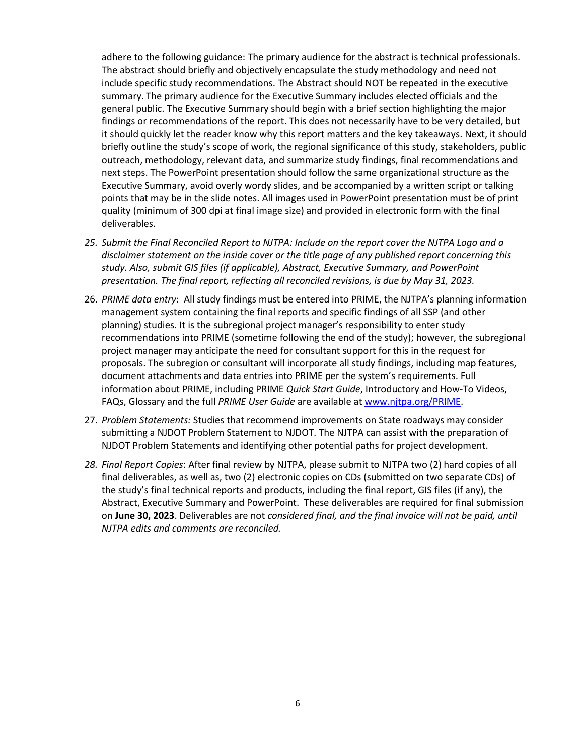adhere to the following guidance: The primary audience for the abstract is technical professionals. The abstract should briefly and objectively encapsulate the study methodology and need not include specific study recommendations. The Abstract should NOT be repeated in the executive summary. The primary audience for the Executive Summary includes elected officials and the general public. The Executive Summary should begin with a brief section highlighting the major findings or recommendations of the report. This does not necessarily have to be very detailed, but it should quickly let the reader know why this report matters and the key takeaways. Next, it should briefly outline the study's scope of work, the regional significance of this study, stakeholders, public outreach, methodology, relevant data, and summarize study findings, final recommendations and next steps. The PowerPoint presentation should follow the same organizational structure as the Executive Summary, avoid overly wordy slides, and be accompanied by a written script or talking points that may be in the slide notes. All images used in PowerPoint presentation must be of print quality (minimum of 300 dpi at final image size) and provided in electronic form with the final deliverables.

- *25. Submit the Final Reconciled Report to NJTPA: Include on the report cover the NJTPA Logo and a disclaimer statement on the inside cover or the title page of any published report concerning this study. Also, submit GIS files (if applicable), Abstract, Executive Summary, and PowerPoint presentation. The final report, reflecting all reconciled revisions, is due by May 31, 2023.*
- 26. *PRIME data entry*: All study findings must be entered into PRIME, the NJTPA's planning information management system containing the final reports and specific findings of all SSP (and other planning) studies. It is the subregional project manager's responsibility to enter study recommendations into PRIME (sometime following the end of the study); however, the subregional project manager may anticipate the need for consultant support for this in the request for proposals. The subregion or consultant will incorporate all study findings, including map features, document attachments and data entries into PRIME per the system's requirements. Full information about PRIME, including PRIME *Quick Start Guide*, Introductory and How-To Videos, FAQs, Glossary and the full *PRIME User Guide* are available a[t www.njtpa.org/PRIME.](http://www.njtpa.org/PRIME)
- 27. *Problem Statements:* Studies that recommend improvements on State roadways may consider submitting a NJDOT Problem Statement to NJDOT. The NJTPA can assist with the preparation of NJDOT Problem Statements and identifying other potential paths for project development.
- *28. Final Report Copies*: After final review by NJTPA, please submit to NJTPA two (2) hard copies of all final deliverables, as well as, two (2) electronic copies on CDs (submitted on two separate CDs) of the study's final technical reports and products, including the final report, GIS files (if any), the Abstract, Executive Summary and PowerPoint. These deliverables are required for final submission on **June 30, 2023**. Deliverables are not *considered final, and the final invoice will not be paid, until NJTPA edits and comments are reconciled.*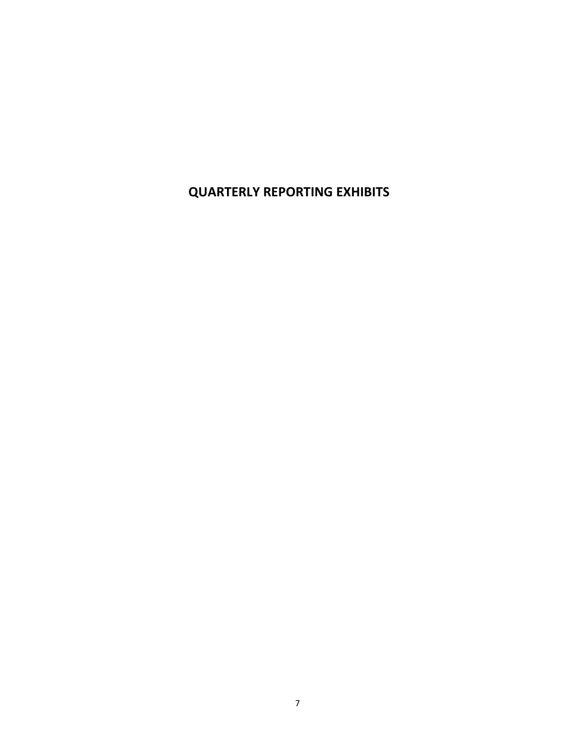**QUARTERLY REPORTING EXHIBITS**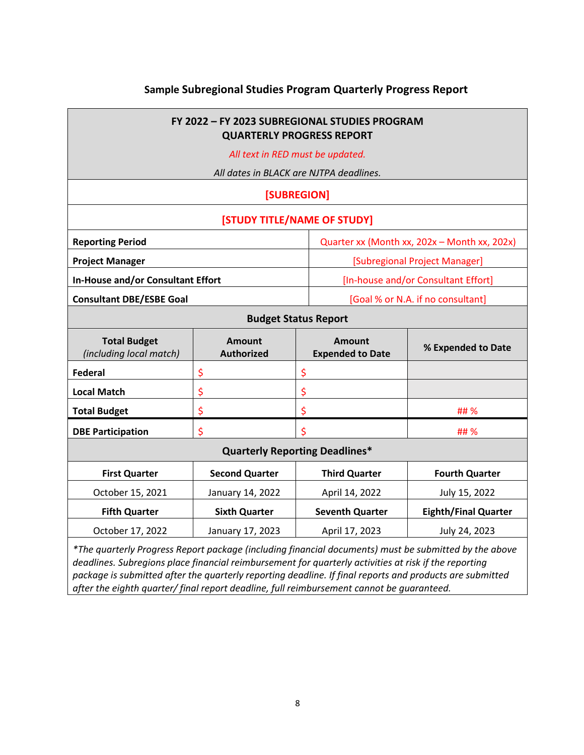## **Sample Subregional Studies Program Quarterly Progress Report**

a l

| FY 2022 - FY 2023 SUBREGIONAL STUDIES PROGRAM<br><b>QUARTERLY PROGRESS REPORT</b>                                                                                                                              |                                                     |                                     |                                          |                             |  |  |
|----------------------------------------------------------------------------------------------------------------------------------------------------------------------------------------------------------------|-----------------------------------------------------|-------------------------------------|------------------------------------------|-----------------------------|--|--|
| All text in RED must be updated.                                                                                                                                                                               |                                                     |                                     |                                          |                             |  |  |
| All dates in BLACK are NJTPA deadlines.                                                                                                                                                                        |                                                     |                                     |                                          |                             |  |  |
| [SUBREGION]                                                                                                                                                                                                    |                                                     |                                     |                                          |                             |  |  |
| [STUDY TITLE/NAME OF STUDY]                                                                                                                                                                                    |                                                     |                                     |                                          |                             |  |  |
| <b>Reporting Period</b>                                                                                                                                                                                        | Quarter xx (Month xx, 202x - Month xx, 202x)        |                                     |                                          |                             |  |  |
| <b>Project Manager</b>                                                                                                                                                                                         | [Subregional Project Manager]                       |                                     |                                          |                             |  |  |
| In-House and/or Consultant Effort                                                                                                                                                                              |                                                     | [In-house and/or Consultant Effort] |                                          |                             |  |  |
| <b>Consultant DBE/ESBE Goal</b>                                                                                                                                                                                | [Goal % or N.A. if no consultant]                   |                                     |                                          |                             |  |  |
| <b>Budget Status Report</b>                                                                                                                                                                                    |                                                     |                                     |                                          |                             |  |  |
| <b>Total Budget</b><br>(including local match)                                                                                                                                                                 | <b>Amount</b><br><b>Authorized</b>                  |                                     | <b>Amount</b><br><b>Expended to Date</b> | % Expended to Date          |  |  |
| <b>Federal</b>                                                                                                                                                                                                 | \$                                                  | \$                                  |                                          |                             |  |  |
| <b>Local Match</b>                                                                                                                                                                                             | \$                                                  | \$                                  |                                          |                             |  |  |
| <b>Total Budget</b>                                                                                                                                                                                            | \$                                                  | \$                                  | ## %                                     |                             |  |  |
| <b>DBE Participation</b>                                                                                                                                                                                       | \$                                                  | \$<br>## %                          |                                          |                             |  |  |
| <b>Quarterly Reporting Deadlines*</b>                                                                                                                                                                          |                                                     |                                     |                                          |                             |  |  |
| <b>First Quarter</b>                                                                                                                                                                                           | <b>Second Quarter</b>                               |                                     | <b>Third Quarter</b>                     | <b>Fourth Quarter</b>       |  |  |
| October 15, 2021                                                                                                                                                                                               | January 14, 2022                                    |                                     | April 14, 2022                           | July 15, 2022               |  |  |
| <b>Fifth Quarter</b>                                                                                                                                                                                           | <b>Sixth Quarter</b>                                |                                     | <b>Seventh Quarter</b>                   | <b>Eighth/Final Quarter</b> |  |  |
| October 17, 2022                                                                                                                                                                                               | January 17, 2023<br>April 17, 2023<br>July 24, 2023 |                                     |                                          |                             |  |  |
| *The quarterly Progress Report package (including financial documents) must be submitted by the above<br>deadlines. Subregions place financial reimbursement for quarterly activities at risk if the reporting |                                                     |                                     |                                          |                             |  |  |

*deadlines. Subregions place financial reimbursement for quarterly activities at risk if the reporting package is submitted after the quarterly reporting deadline. If final reports and products are submitted after the eighth quarter/ final report deadline, full reimbursement cannot be guaranteed.*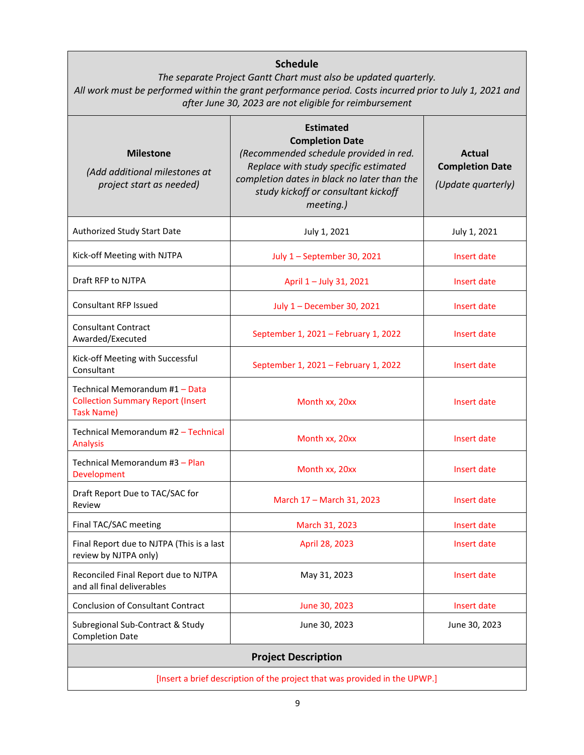| <b>Schedule</b><br>The separate Project Gantt Chart must also be updated quarterly.<br>All work must be performed within the grant performance period. Costs incurred prior to July 1, 2021 and<br>after June 30, 2023 are not eligible for reimbursement |                                                                                                                                                                                                                                  |                                                               |  |  |  |
|-----------------------------------------------------------------------------------------------------------------------------------------------------------------------------------------------------------------------------------------------------------|----------------------------------------------------------------------------------------------------------------------------------------------------------------------------------------------------------------------------------|---------------------------------------------------------------|--|--|--|
| <b>Milestone</b><br>(Add additional milestones at<br>project start as needed)                                                                                                                                                                             | <b>Estimated</b><br><b>Completion Date</b><br>(Recommended schedule provided in red.<br>Replace with study specific estimated<br>completion dates in black no later than the<br>study kickoff or consultant kickoff<br>meeting.) | <b>Actual</b><br><b>Completion Date</b><br>(Update quarterly) |  |  |  |
| Authorized Study Start Date                                                                                                                                                                                                                               | July 1, 2021                                                                                                                                                                                                                     | July 1, 2021                                                  |  |  |  |
| Kick-off Meeting with NJTPA                                                                                                                                                                                                                               | July 1 - September 30, 2021                                                                                                                                                                                                      | Insert date                                                   |  |  |  |
| Draft RFP to NJTPA                                                                                                                                                                                                                                        | April 1 - July 31, 2021                                                                                                                                                                                                          | Insert date                                                   |  |  |  |
| <b>Consultant RFP Issued</b>                                                                                                                                                                                                                              | July 1 - December 30, 2021                                                                                                                                                                                                       | Insert date                                                   |  |  |  |
| <b>Consultant Contract</b><br>Awarded/Executed                                                                                                                                                                                                            | September 1, 2021 - February 1, 2022                                                                                                                                                                                             | Insert date                                                   |  |  |  |
| Kick-off Meeting with Successful<br>Consultant                                                                                                                                                                                                            | September 1, 2021 - February 1, 2022                                                                                                                                                                                             | Insert date                                                   |  |  |  |
| Technical Memorandum #1 - Data<br><b>Collection Summary Report (Insert</b><br>Task Name)                                                                                                                                                                  | Month xx, 20xx                                                                                                                                                                                                                   | Insert date                                                   |  |  |  |
| Technical Memorandum #2 - Technical<br><b>Analysis</b>                                                                                                                                                                                                    | Month xx, 20xx                                                                                                                                                                                                                   | Insert date                                                   |  |  |  |
| Technical Memorandum #3 - Plan<br>Development                                                                                                                                                                                                             | Month xx, 20xx                                                                                                                                                                                                                   | Insert date                                                   |  |  |  |
| Draft Report Due to TAC/SAC for<br>Review                                                                                                                                                                                                                 | March 17 - March 31, 2023                                                                                                                                                                                                        | Insert date                                                   |  |  |  |
| Final TAC/SAC meeting                                                                                                                                                                                                                                     | March 31, 2023                                                                                                                                                                                                                   | Insert date                                                   |  |  |  |
| Final Report due to NJTPA (This is a last<br>review by NJTPA only)                                                                                                                                                                                        | April 28, 2023                                                                                                                                                                                                                   | Insert date                                                   |  |  |  |
| Reconciled Final Report due to NJTPA<br>and all final deliverables                                                                                                                                                                                        | May 31, 2023                                                                                                                                                                                                                     | Insert date                                                   |  |  |  |
| <b>Conclusion of Consultant Contract</b>                                                                                                                                                                                                                  | June 30, 2023                                                                                                                                                                                                                    | Insert date                                                   |  |  |  |
| Subregional Sub-Contract & Study<br><b>Completion Date</b>                                                                                                                                                                                                | June 30, 2023                                                                                                                                                                                                                    | June 30, 2023                                                 |  |  |  |
| <b>Project Description</b>                                                                                                                                                                                                                                |                                                                                                                                                                                                                                  |                                                               |  |  |  |
| [Insert a brief description of the project that was provided in the UPWP.]                                                                                                                                                                                |                                                                                                                                                                                                                                  |                                                               |  |  |  |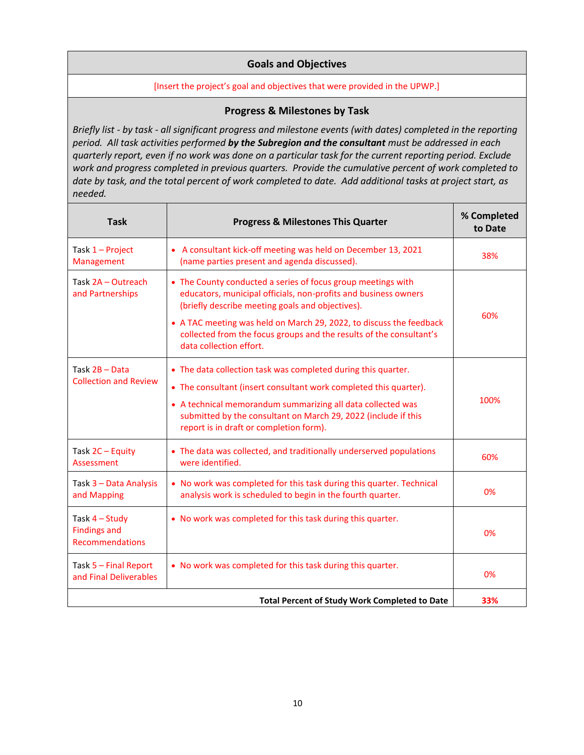#### **Goals and Objectives**

#### [Insert the project's goal and objectives that were provided in the UPWP.]

#### **Progress & Milestones by Task**

*Briefly list - by task - all significant progress and milestone events (with dates) completed in the reporting period. All task activities performed by the Subregion and the consultant must be addressed in each quarterly report, even if no work was done on a particular task for the current reporting period. Exclude work and progress completed in previous quarters. Provide the cumulative percent of work completed to date by task, and the total percent of work completed to date. Add additional tasks at project start, as needed.*

| <b>Task</b>                                                                                                                   | <b>Progress &amp; Milestones This Quarter</b>                                                                                                                                                                                                                                                                                                                | % Completed<br>to Date |
|-------------------------------------------------------------------------------------------------------------------------------|--------------------------------------------------------------------------------------------------------------------------------------------------------------------------------------------------------------------------------------------------------------------------------------------------------------------------------------------------------------|------------------------|
| Task 1 - Project<br>Management                                                                                                | • A consultant kick-off meeting was held on December 13, 2021<br>(name parties present and agenda discussed).                                                                                                                                                                                                                                                | 38%                    |
| Task 2A - Outreach<br>and Partnerships                                                                                        | • The County conducted a series of focus group meetings with<br>educators, municipal officials, non-profits and business owners<br>(briefly describe meeting goals and objectives).<br>• A TAC meeting was held on March 29, 2022, to discuss the feedback<br>collected from the focus groups and the results of the consultant's<br>data collection effort. | 60%                    |
| Task 2B - Data<br><b>Collection and Review</b>                                                                                | • The data collection task was completed during this quarter.<br>• The consultant (insert consultant work completed this quarter).<br>• A technical memorandum summarizing all data collected was<br>submitted by the consultant on March 29, 2022 (include if this<br>report is in draft or completion form).                                               |                        |
| Task 2C - Equity<br>Assessment                                                                                                | • The data was collected, and traditionally underserved populations<br>were identified.                                                                                                                                                                                                                                                                      |                        |
| Task 3 - Data Analysis<br>and Mapping                                                                                         | • No work was completed for this task during this quarter. Technical<br>analysis work is scheduled to begin in the fourth quarter.                                                                                                                                                                                                                           |                        |
| Task 4 - Study<br>• No work was completed for this task during this quarter.<br><b>Findings and</b><br><b>Recommendations</b> |                                                                                                                                                                                                                                                                                                                                                              | 0%                     |
| Task 5 - Final Report<br>and Final Deliverables                                                                               | • No work was completed for this task during this quarter.                                                                                                                                                                                                                                                                                                   |                        |
|                                                                                                                               | <b>Total Percent of Study Work Completed to Date</b>                                                                                                                                                                                                                                                                                                         | 33%                    |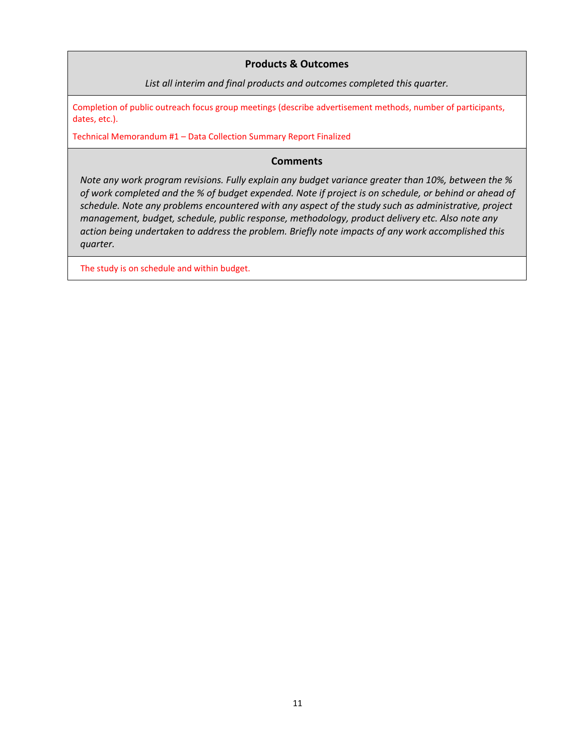#### **Products & Outcomes**

*List all interim and final products and outcomes completed this quarter.*

Completion of public outreach focus group meetings (describe advertisement methods, number of participants, dates, etc.).

Technical Memorandum #1 – Data Collection Summary Report Finalized

#### **Comments**

*Note any work program revisions. Fully explain any budget variance greater than 10%, between the % of work completed and the % of budget expended. Note if project is on schedule, or behind or ahead of schedule. Note any problems encountered with any aspect of the study such as administrative, project management, budget, schedule, public response, methodology, product delivery etc. Also note any action being undertaken to address the problem. Briefly note impacts of any work accomplished this quarter.*

The study is on schedule and within budget.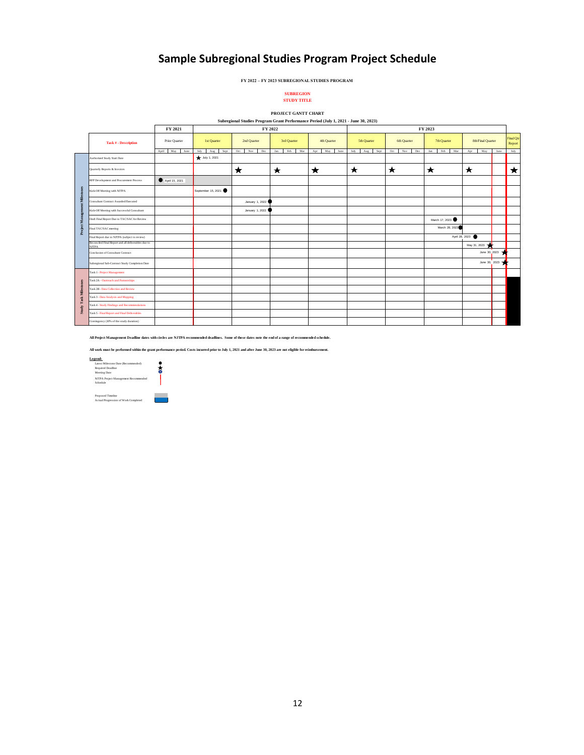## **Sample Subregional Studies Program Project Schedule**

**FY 2022 – FY 2023 SUBREGIONAL STUDIES PROGRAM** 

#### **STUDY TITLE SUBREGION**

#### **Subregional Studies Program Grant Performance Period (July 1, 2021 - June 30, 2023) PROJECT GANTT CHART**

|                                      |                                                                                                                                                                                                                                                                                                                                                                                                                                                                              | FY 2021           |                     | FY 2022           | $\frac{1}{2}$ $\frac{1}{2}$ $\frac{1}{2}$ $\frac{1}{2}$ $\frac{1}{2}$ $\frac{1}{2}$ $\frac{1}{2}$ $\frac{1}{2}$ $\frac{1}{2}$ $\frac{1}{2}$ $\frac{1}{2}$ $\frac{1}{2}$ $\frac{1}{2}$ $\frac{1}{2}$ $\frac{1}{2}$ $\frac{1}{2}$ $\frac{1}{2}$ $\frac{1}{2}$ $\frac{1}{2}$ $\frac{1}{2}$ $\frac{1}{2}$ $\frac{1}{2}$<br>FY 2023 |                    |                     |                   |                     |                   |               |                     |
|--------------------------------------|------------------------------------------------------------------------------------------------------------------------------------------------------------------------------------------------------------------------------------------------------------------------------------------------------------------------------------------------------------------------------------------------------------------------------------------------------------------------------|-------------------|---------------------|-------------------|--------------------------------------------------------------------------------------------------------------------------------------------------------------------------------------------------------------------------------------------------------------------------------------------------------------------------------|--------------------|---------------------|-------------------|---------------------|-------------------|---------------|---------------------|
|                                      | <b>Task # - Description</b>                                                                                                                                                                                                                                                                                                                                                                                                                                                  | Prior Quarter     | 1st Quarter         | 2nd Quarter       | 3rd Quarter                                                                                                                                                                                                                                                                                                                    | 4th Quarter        | 5th Quarter         | 6th Quarter       | 7th Quarter         | 8th/Final Quarter |               | Final Qtr<br>Report |
|                                      |                                                                                                                                                                                                                                                                                                                                                                                                                                                                              | April May<br>June | July<br>Sept<br>Aug | Oct<br>Nov<br>Dec | Mar<br>Jan<br>Feb                                                                                                                                                                                                                                                                                                              | May<br>Apr<br>June | July<br>Aug<br>Sept | Oct<br>Nov<br>Dec | Mar<br>Jan -<br>Feb | Apr<br>May        | June          | July                |
| Mileston<br>$\overline{\phantom{a}}$ | Authorized Study Start Date                                                                                                                                                                                                                                                                                                                                                                                                                                                  |                   | July 1, 2021        |                   |                                                                                                                                                                                                                                                                                                                                |                    |                     |                   |                     |                   |               |                     |
|                                      | Quarterly Reports & Invoices                                                                                                                                                                                                                                                                                                                                                                                                                                                 |                   |                     | ★                 | ★                                                                                                                                                                                                                                                                                                                              | ★                  | $\star$             | ★                 | ★                   | ★                 |               | ★                   |
|                                      | RFP Development and Procurement Process                                                                                                                                                                                                                                                                                                                                                                                                                                      | April 15, 2021    |                     |                   |                                                                                                                                                                                                                                                                                                                                |                    |                     |                   |                     |                   |               |                     |
|                                      | Kick-Off Meeting with NJTPA                                                                                                                                                                                                                                                                                                                                                                                                                                                  |                   | September 15, 2021  |                   |                                                                                                                                                                                                                                                                                                                                |                    |                     |                   |                     |                   |               |                     |
|                                      | Consultant Contract Awarded/Executed                                                                                                                                                                                                                                                                                                                                                                                                                                         |                   |                     | January 1, 2022   |                                                                                                                                                                                                                                                                                                                                |                    |                     |                   |                     |                   |               |                     |
|                                      | Kick-Off Meeting with Successful Consultant                                                                                                                                                                                                                                                                                                                                                                                                                                  |                   |                     | January 1, 2022   |                                                                                                                                                                                                                                                                                                                                |                    |                     |                   |                     |                   |               |                     |
| Project Manageme                     | Draft Final Report Due to TAC/SAC for Review                                                                                                                                                                                                                                                                                                                                                                                                                                 |                   |                     |                   |                                                                                                                                                                                                                                                                                                                                |                    |                     |                   | March 17, 2023      |                   |               |                     |
|                                      | Final TAC/SAC meeting                                                                                                                                                                                                                                                                                                                                                                                                                                                        |                   |                     |                   |                                                                                                                                                                                                                                                                                                                                |                    |                     |                   | March 28, 2023      |                   |               |                     |
|                                      | Final Report due to NJTPA (subject to review)                                                                                                                                                                                                                                                                                                                                                                                                                                |                   |                     |                   |                                                                                                                                                                                                                                                                                                                                |                    |                     |                   |                     | April 28, 2023    |               |                     |
|                                      | Reconciled Final Report and all deliverables due to<br><b>NJTPA</b>                                                                                                                                                                                                                                                                                                                                                                                                          |                   |                     |                   |                                                                                                                                                                                                                                                                                                                                |                    |                     |                   |                     | May 31, 2023      |               |                     |
|                                      | Conclusion of Consultant Contract                                                                                                                                                                                                                                                                                                                                                                                                                                            |                   |                     |                   |                                                                                                                                                                                                                                                                                                                                |                    |                     |                   |                     |                   | June 30, 2023 |                     |
|                                      | Subregional Sub-Contract Study Completion Date                                                                                                                                                                                                                                                                                                                                                                                                                               |                   |                     |                   |                                                                                                                                                                                                                                                                                                                                |                    |                     |                   |                     |                   | June 30, 2023 |                     |
|                                      | Task 1 - Project Management                                                                                                                                                                                                                                                                                                                                                                                                                                                  |                   |                     |                   |                                                                                                                                                                                                                                                                                                                                |                    |                     |                   |                     |                   |               |                     |
|                                      | Task 2A - Ourtreach and Partnerships                                                                                                                                                                                                                                                                                                                                                                                                                                         |                   |                     |                   |                                                                                                                                                                                                                                                                                                                                |                    |                     |                   |                     |                   |               |                     |
| <b>Study Task Milestones</b>         | Task 2B - Data Collection and Review                                                                                                                                                                                                                                                                                                                                                                                                                                         |                   |                     |                   |                                                                                                                                                                                                                                                                                                                                |                    |                     |                   |                     |                   |               |                     |
|                                      | Task 3 - Data Analysis and Mapping                                                                                                                                                                                                                                                                                                                                                                                                                                           |                   |                     |                   |                                                                                                                                                                                                                                                                                                                                |                    |                     |                   |                     |                   |               |                     |
|                                      | Task 4 - Study Findings and Recommendations                                                                                                                                                                                                                                                                                                                                                                                                                                  |                   |                     |                   |                                                                                                                                                                                                                                                                                                                                |                    |                     |                   |                     |                   |               |                     |
|                                      | Task 5 - Final Report and Final Deliverables                                                                                                                                                                                                                                                                                                                                                                                                                                 |                   |                     |                   |                                                                                                                                                                                                                                                                                                                                |                    |                     |                   |                     |                   |               |                     |
|                                      | Contingency (10% of the study duration)                                                                                                                                                                                                                                                                                                                                                                                                                                      |                   |                     |                   |                                                                                                                                                                                                                                                                                                                                |                    |                     |                   |                     |                   |               |                     |
|                                      | All Project Management Deadline dates with circles are NJTPA recommended deadlines. Some of these dates note the end of a range of recommended schedule.<br>All work must be performed within the grant performance period. Costs incurred prior to July 1, 2021 and after June 30, 2023 are not eligible for reimbursement.<br>Legend:<br>Latest Milestone Date (Recommended)<br>Required Deadline<br>る<br>Meeting Date<br>NJTPA Project Management Recommended<br>Schedule |                   |                     |                   |                                                                                                                                                                                                                                                                                                                                |                    |                     |                   |                     |                   |               |                     |
|                                      | Proposed Timeline<br>Actual Progression of Work Completed                                                                                                                                                                                                                                                                                                                                                                                                                    |                   |                     |                   |                                                                                                                                                                                                                                                                                                                                |                    |                     |                   |                     |                   |               |                     |



Proposed Timeline<br>Actual Progression of Work Completed

12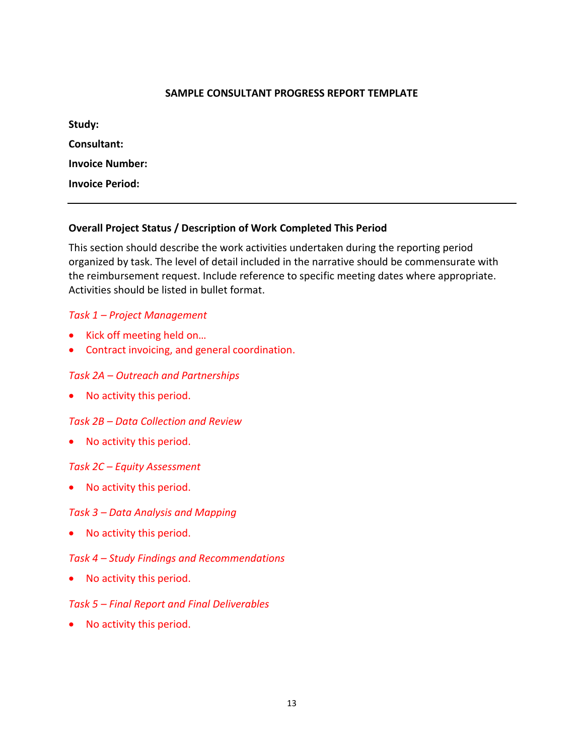#### **SAMPLE CONSULTANT PROGRESS REPORT TEMPLATE**

| Study:                 |  |  |
|------------------------|--|--|
| Consultant:            |  |  |
| <b>Invoice Number:</b> |  |  |
| <b>Invoice Period:</b> |  |  |

### **Overall Project Status / Description of Work Completed This Period**

This section should describe the work activities undertaken during the reporting period organized by task. The level of detail included in the narrative should be commensurate with the reimbursement request. Include reference to specific meeting dates where appropriate. Activities should be listed in bullet format.

#### *Task 1 – Project Management*

- Kick off meeting held on…
- Contract invoicing, and general coordination.

#### *Task 2A – Outreach and Partnerships*

• No activity this period.

#### *Task 2B – Data Collection and Review*

• No activity this period.

#### *Task 2C – Equity Assessment*

No activity this period.

#### *Task 3 – Data Analysis and Mapping*

• No activity this period.

#### *Task 4 – Study Findings and Recommendations*

• No activity this period.

#### *Task 5 – Final Report and Final Deliverables*

• No activity this period.